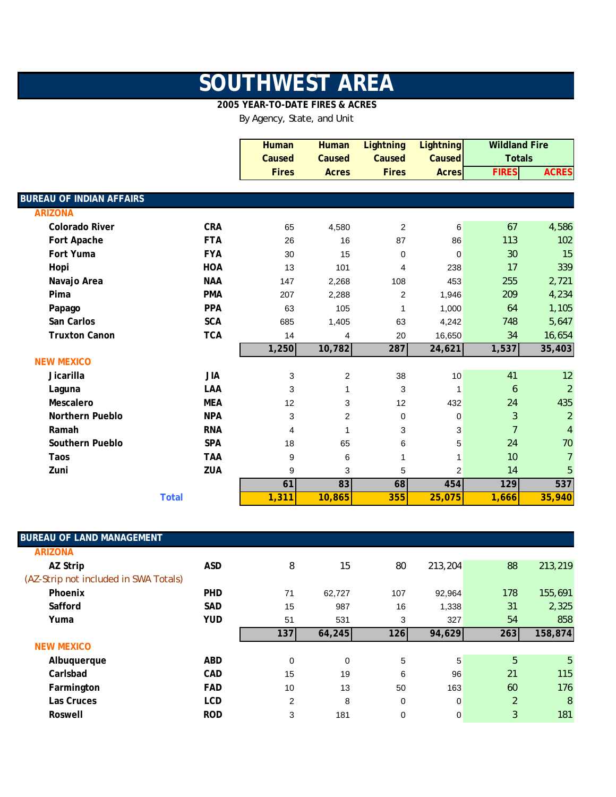## **SOUTHWEST AREA**

## **2005 YEAR-TO-DATE FIRES & ACRES**

By Agency, State, and Unit

|                                 |              | <b>Human</b> | <b>Human</b>            | <b>Lightning</b> | <b>Lightning</b> | <b>Wildland Fire</b> |                |
|---------------------------------|--------------|--------------|-------------------------|------------------|------------------|----------------------|----------------|
|                                 |              | Caused       | Caused                  | Caused           | Caused           | <b>Totals</b>        |                |
|                                 |              | <b>Fires</b> | <b>Acres</b>            | <b>Fires</b>     | <b>Acres</b>     | <b>FIRES</b>         | <b>ACRES</b>   |
|                                 |              |              |                         |                  |                  |                      |                |
| <b>BUREAU OF INDIAN AFFAIRS</b> |              |              |                         |                  |                  |                      |                |
| <b>ARIZONA</b>                  |              |              |                         |                  |                  |                      |                |
| <b>Colorado River</b>           | <b>CRA</b>   | 65           | 4,580                   | 2                | 6                | 67                   | 4,586          |
| Fort Apache                     | <b>FTA</b>   | 26           | 16                      | 87               | 86               | 113                  | 102            |
| Fort Yuma                       | <b>FYA</b>   | 30           | 15                      | 0                | $\mathbf 0$      | 30                   | 15             |
| Hopi                            | <b>HOA</b>   | 13           | 101                     | 4                | 238              | 17                   | 339            |
| Navajo Area                     | <b>NAA</b>   | 147          | 2,268                   | 108              | 453              | 255                  | 2,721          |
| Pima                            | <b>PMA</b>   | 207          | 2,288                   | 2                | 1,946            | 209                  | 4,234          |
| Papago                          | <b>PPA</b>   | 63           | 105                     | 1                | 1,000            | 64                   | 1,105          |
| San Carlos                      | <b>SCA</b>   | 685          | 1,405                   | 63               | 4,242            | 748                  | 5,647          |
| <b>Truxton Canon</b>            | <b>TCA</b>   | 14           | 4                       | 20               | 16,650           | 34                   | 16,654         |
|                                 |              | 1,250        | 10,782                  | 287              | 24,621           | 1,537                | 35,403         |
| <b>NEW MEXICO</b>               |              |              |                         |                  |                  |                      |                |
| Jicarilla                       | <b>JIA</b>   | 3            | $\overline{\mathbf{c}}$ | 38               | 10               | 41                   | 12             |
| Laguna                          | LAA          | 3            | 1                       | 3                | $\mathbf{1}$     | 6                    | $\overline{2}$ |
| Mescalero                       | <b>MEA</b>   | 12           | 3                       | 12               | 432              | 24                   | 435            |
| <b>Northern Pueblo</b>          | <b>NPA</b>   | 3            | 2                       | $\mathbf 0$      | 0                | 3                    | $\overline{2}$ |
| Ramah                           | <b>RNA</b>   | 4            | 1                       | 3                | $\mathsf 3$      | $\overline{7}$       | $\overline{4}$ |
| Southern Pueblo                 | <b>SPA</b>   | 18           | 65                      | 6                | 5                | 24                   | 70             |
| Taos                            | <b>TAA</b>   | 9            | 6                       | 1                | 1                | 10                   | $\overline{7}$ |
| Zuni                            | ZUA          | 9            | 3                       | 5                | $\overline{c}$   | 14                   | 5              |
|                                 |              | 61           | 83                      | 68               | 454              | 129                  | 537            |
|                                 | <b>Total</b> | 1,311        | 10,865                  | 355              | 25,075           | 1,666                | 35,940         |

| <b>BUREAU OF LAND MANAGEMENT</b>      |            |     |        |     |             |     |         |
|---------------------------------------|------------|-----|--------|-----|-------------|-----|---------|
| <b>ARIZONA</b>                        |            |     |        |     |             |     |         |
| AZ Strip                              | <b>ASD</b> | 8   | 15     | 80  | 213,204     | 88  | 213,219 |
| (AZ-Strip not included in SWA Totals) |            |     |        |     |             |     |         |
| Phoenix                               | <b>PHD</b> | 71  | 62,727 | 107 | 92,964      | 178 | 155,691 |
| Safford                               | <b>SAD</b> | 15  | 987    | 16  | 1,338       | 31  | 2,325   |
| Yuma                                  | <b>YUD</b> | 51  | 531    | 3   | 327         | 54  | 858     |
|                                       |            | 137 | 64,245 | 126 | 94,629      | 263 | 158,874 |
| <b>NEW MEXICO</b>                     |            |     |        |     |             |     |         |
| Albuquerque                           | <b>ABD</b> | 0   | 0      | 5   | 5           | 5   | 5       |
| Carlsbad                              | <b>CAD</b> | 15  | 19     | 6   | 96          | 21  | 115     |
| Farmington                            | <b>FAD</b> | 10  | 13     | 50  | 163         | 60  | 176     |
| Las Cruces                            | <b>LCD</b> | 2   | 8      | 0   | $\mathbf 0$ | 2   | 8       |
| Roswell                               | <b>ROD</b> | 3   | 181    | 0   | 0           | 3   | 181     |
|                                       |            |     |        |     |             |     |         |

I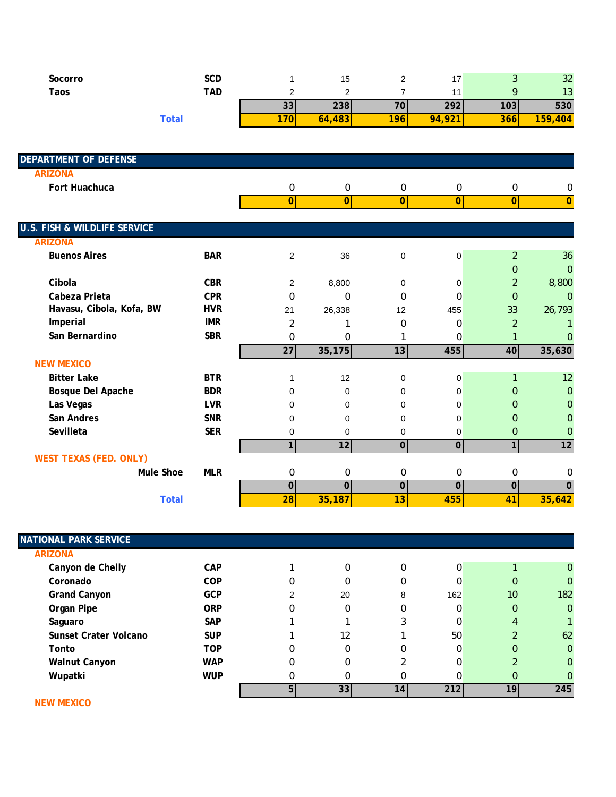| Socorro | SCD   |          | 15.    |     | $\overline{ }$<br>. . |     | 32      |
|---------|-------|----------|--------|-----|-----------------------|-----|---------|
| Taos    | TAD   |          |        |     |                       |     | 13      |
|         |       | ົ<br>551 | 238    | 70  | 292                   | 103 | 530     |
|         | 「otal | 20F      | 64,483 | 196 | 94,921                | 366 | 159,404 |

| <b>DEPARTMENT OF DEFENSE</b>            |            |                |                |                |                  |                |                |
|-----------------------------------------|------------|----------------|----------------|----------------|------------------|----------------|----------------|
| <b>ARIZONA</b>                          |            |                |                |                |                  |                |                |
| Fort Huachuca                           |            | 0              | 0              | 0              | $\boldsymbol{0}$ | 0              | 0              |
|                                         |            | $\overline{0}$ | 0              | $\overline{0}$ | $\overline{0}$   | $\overline{0}$ | $\overline{0}$ |
|                                         |            |                |                |                |                  |                |                |
| <b>U.S. FISH &amp; WILDLIFE SERVICE</b> |            |                |                |                |                  |                |                |
| <b>ARIZONA</b>                          |            |                |                |                |                  |                |                |
| <b>Buenos Aires</b>                     | <b>BAR</b> | 2              | 36             | $\pmb{0}$      | $\mathbf 0$      | $\overline{2}$ | 36             |
|                                         |            |                |                |                |                  | $\Omega$       | $\overline{0}$ |
| Cibola                                  | <b>CBR</b> | $\overline{2}$ | 8,800          | 0              | 0                | $\overline{2}$ | 8,800          |
| Cabeza Prieta                           | <b>CPR</b> | 0              | 0              | $\Omega$       | 0                | $\Omega$       | $\overline{0}$ |
| Havasu, Cibola, Kofa, BW                | <b>HVR</b> | 21             | 26,338         | 12             | 455              | 33             | 26,793         |
| Imperial                                | <b>IMR</b> | 2              | 1              | $\Omega$       | 0                | $\overline{2}$ |                |
| San Bernardino                          | <b>SBR</b> | 0              | $\Omega$       | 1              | $\mathbf 0$      | $\mathbf{1}$   | $\Omega$       |
|                                         |            | 27             | 35,175         | 13             | 455              | 40             | 35,630         |
| <b>NEW MEXICO</b>                       |            |                |                |                |                  |                |                |
| <b>Bitter Lake</b>                      | <b>BTR</b> | 1              | 12             | 0              | 0                |                | 12             |
| Bosque Del Apache                       | <b>BDR</b> | $\Omega$       | 0              | $\Omega$       | 0                | $\Omega$       | $\overline{0}$ |
| Las Vegas                               | <b>LVR</b> | 0              | 0              | $\Omega$       | 0                | 0              | 0              |
| San Andres                              | <b>SNR</b> | 0              | 0              | $\Omega$       | $\mathbf 0$      | $\Omega$       | 0              |
| Sevilleta                               | <b>SER</b> | 0              | 0              | 0              | 0                | $\mathbf{0}$   | 0              |
|                                         |            | 1              | 12             | $\overline{0}$ | $\overline{0}$   | $\mathbf{1}$   | 12             |
| <b>WEST TEXAS (FED. ONLY)</b>           |            |                |                |                |                  |                |                |
| Mule Shoe                               | <b>MLR</b> | 0              | 0              | 0              | 0                | 0              | 0              |
|                                         |            | $\overline{0}$ | $\overline{0}$ | $\overline{0}$ | $\overline{0}$   | $\overline{0}$ | $\overline{0}$ |
| <b>Total</b>                            |            | 28             | 35,187         | 13             | 455              | 41             | 35,642         |

| <b>NATIONAL PARK SERVICE</b> |            |   |          |          |     |                 |                |
|------------------------------|------------|---|----------|----------|-----|-----------------|----------------|
| <b>ARIZONA</b>               |            |   |          |          |     |                 |                |
| Canyon de Chelly             | <b>CAP</b> |   | 0        | $\Omega$ | 0   |                 | $\overline{0}$ |
| Coronado                     | <b>COP</b> | 0 | 0        | 0        | 0   | 0               | $\mathbf{0}$   |
| <b>Grand Canyon</b>          | <b>GCP</b> | 2 | 20       | 8        | 162 | 10 <sup>°</sup> | 182            |
| Organ Pipe                   | <b>ORP</b> | 0 | $\Omega$ | 0        | 0   | $\mathbf{0}$    | $\overline{0}$ |
| Saguaro                      | <b>SAP</b> |   |          |          | 0   | 4               |                |
| Sunset Crater Volcano        | <b>SUP</b> |   | 12       |          | 50  |                 | 62             |
| Tonto                        | <b>TOP</b> | 0 | 0        | 0        | 0   | $\Omega$        | $\mathbf{0}$   |
| <b>Walnut Canyon</b>         | <b>WAP</b> | 0 | 0        |          | 0   |                 | $\Omega$       |
| Wupatki                      | <b>WUP</b> | 0 | 0        | O        | U   | $\Omega$        | 0              |
|                              |            | 5 | 33       | 14       | 212 | 19              | 245            |

 **NEW MEXICO**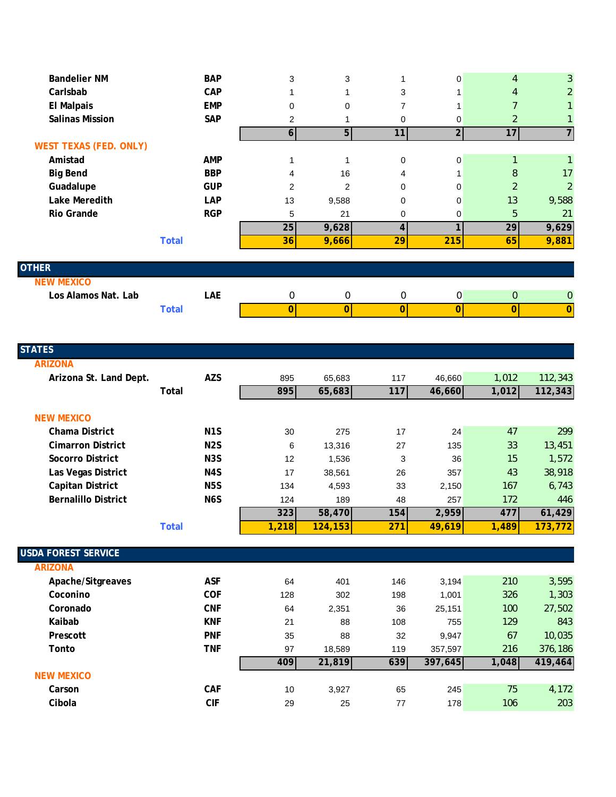| <b>Bandelier NM</b>           |              | <b>BAP</b> | 3              | 3              |             | 0              | $\overline{4}$          | 3                |
|-------------------------------|--------------|------------|----------------|----------------|-------------|----------------|-------------------------|------------------|
| Carlsbab                      |              | CAP        |                |                | 3           |                | $\overline{4}$          | $\overline{2}$   |
| <b>El Malpais</b>             |              | <b>EMP</b> | 0              | 0              | 7           |                |                         |                  |
| <b>Salinas Mission</b>        |              | SAP        | $\overline{2}$ |                | 0           | 0              | 2                       |                  |
|                               |              |            | 6 <sup>1</sup> | 5 <sub>l</sub> | 11          | $\overline{2}$ | 17                      |                  |
| <b>WEST TEXAS (FED. ONLY)</b> |              |            |                |                |             |                |                         |                  |
| Amistad                       |              | <b>AMP</b> |                |                | $\Omega$    | 0              | $\mathbf{1}$            |                  |
| <b>Big Bend</b>               |              | <b>BBP</b> | 4              | 16             | 4           |                | 8                       | 17               |
| Guadalupe                     |              | <b>GUP</b> | 2              | 2              | 0           | 0              | $\overline{2}$          | $\overline{2}$   |
| Lake Meredith                 |              | <b>LAP</b> | 13             | 9,588          | 0           | 0              | 13                      | 9,588            |
| Rio Grande                    |              | <b>RGP</b> | 5              | 21             | $\Omega$    | 0              | 5                       | 21               |
|                               |              |            | 25             | 9,628          | 4           |                | 29                      | 9,629            |
|                               | <b>Total</b> |            | 36             | 9,666          | 29          | 215            | 65                      | 9,881            |
| <b>OTHER</b>                  |              |            |                |                |             |                |                         |                  |
| <b>NEW MEXICO</b>             |              |            |                |                |             |                |                         |                  |
| Los Alamos Nat. Lab           |              | LAE        | $\mathbf{0}$   | 0              | $\mathbf 0$ | 0              | $\overline{0}$          | $\boldsymbol{0}$ |
|                               | <b>Total</b> |            | $\mathbf 0$    | $\overline{O}$ | 0           | $\overline{0}$ | $\overline{\mathbf{0}}$ | 0                |

| <b>STATES</b>              |                  |       |          |     |         |       |         |
|----------------------------|------------------|-------|----------|-----|---------|-------|---------|
| <b>ARIZONA</b>             |                  |       |          |     |         |       |         |
| Arizona St. Land Dept.     | <b>AZS</b>       | 895   | 65,683   | 117 | 46,660  | 1,012 | 112,343 |
|                            | Total            | 895   | 65,683   | 117 | 46,660  | 1,012 | 112,343 |
|                            |                  |       |          |     |         |       |         |
| <b>NEW MEXICO</b>          |                  |       |          |     |         |       |         |
| Chama District             | N <sub>1</sub> S | 30    | 275      | 17  | 24      | 47    | 299     |
| <b>Cimarron District</b>   | N <sub>2</sub> S | 6     | 13,316   | 27  | 135     | 33    | 13,451  |
| Socorro District           | N <sub>3</sub> S | 12    | 1,536    | 3   | 36      | 15    | 1,572   |
| Las Vegas District         | N <sub>4</sub> S | 17    | 38,561   | 26  | 357     | 43    | 38,918  |
| Capitan District           | <b>N5S</b>       | 134   | 4,593    | 33  | 2,150   | 167   | 6,743   |
| <b>Bernalillo District</b> | N <sub>6</sub> S | 124   | 189      | 48  | 257     | 172   | 446     |
|                            |                  | 323   | 58,470   | 154 | 2,959   | 477   | 61,429  |
|                            | <b>Total</b>     | 1,218 | 124, 153 | 271 | 49,619  | 1,489 | 173,772 |
|                            |                  |       |          |     |         |       |         |
| <b>USDA FOREST SERVICE</b> |                  |       |          |     |         |       |         |
| <b>ARIZONA</b>             |                  |       |          |     |         |       |         |
| Apache/Sitgreaves          | <b>ASF</b>       | 64    | 401      | 146 | 3,194   | 210   | 3,595   |
| Coconino                   | COF              | 128   | 302      | 198 | 1,001   | 326   | 1,303   |
| Coronado                   | <b>CNF</b>       | 64    | 2,351    | 36  | 25,151  | 100   | 27,502  |
| Kaibab                     | <b>KNF</b>       | 21    | 88       | 108 | 755     | 129   | 843     |
| Prescott                   | <b>PNF</b>       | 35    | 88       | 32  | 9,947   | 67    | 10,035  |
| Tonto                      | <b>TNF</b>       | 97    | 18,589   | 119 | 357,597 | 216   | 376,186 |
|                            |                  | 409   | 21,819   | 639 | 397,645 | 1,048 | 419,464 |
| <b>NEW MEXICO</b>          |                  |       |          |     |         |       |         |
| Carson                     | <b>CAF</b>       | 10    | 3,927    | 65  | 245     | 75    | 4,172   |
| Cibola                     | <b>CIF</b>       | 29    | 25       | 77  | 178     | 106   | 203     |